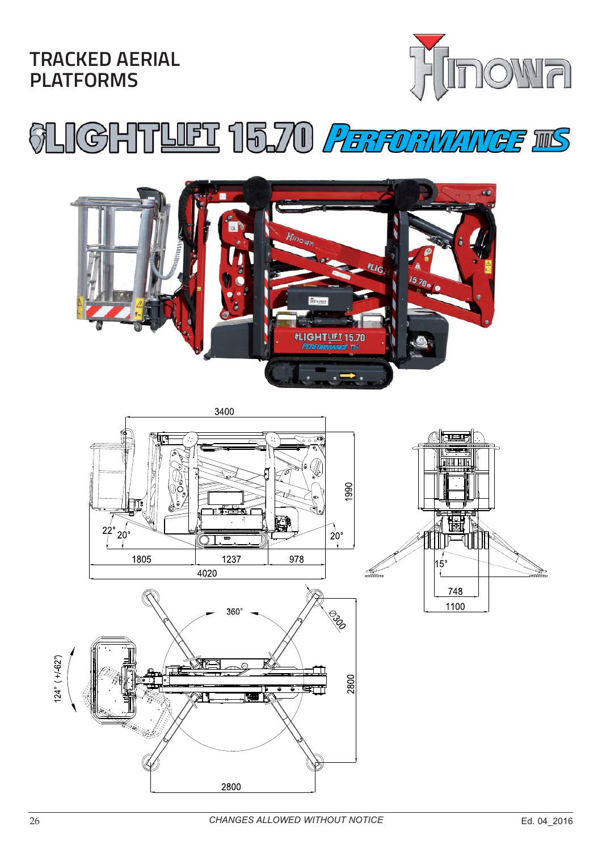**TRACKED AERIAL PLATFORMS**



# LIGHTLET 15.70 *PERFORMANEE* IIS







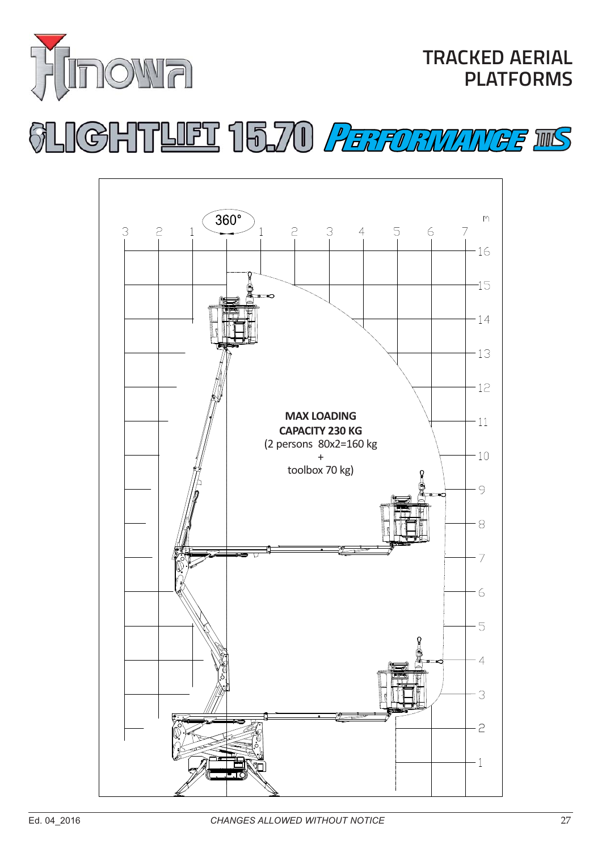

# GHTLET 15.70 PERFORMANCE INS

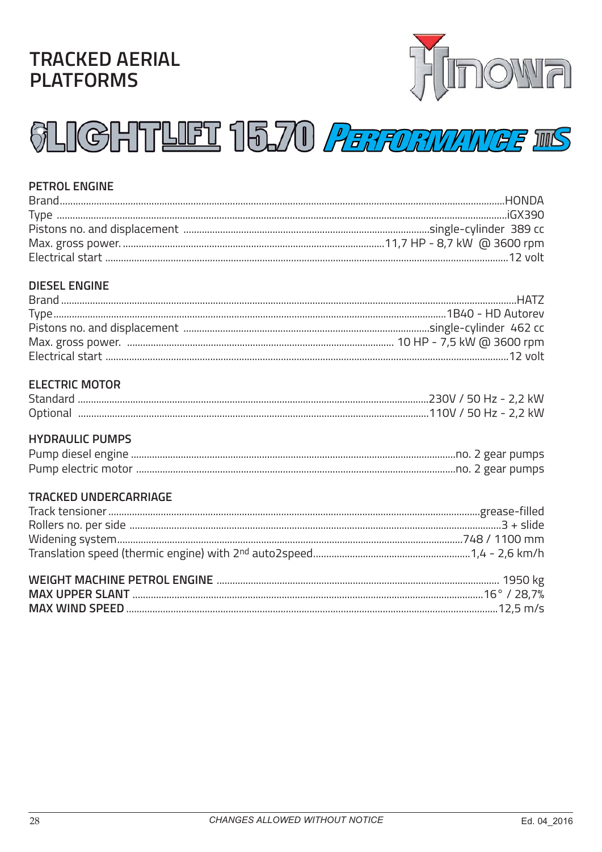### **TRACKED AERIAL PLATFORMS**



## **SLIGHTLIET 15.70 PERFORMANGE INS**

#### **PETROL ENGINE**

#### **DIESEL ENGINE**

#### **ELECTRIC MOTOR**

| Standard |                       |  |
|----------|-----------------------|--|
| Optional | 110V / 50 Hz - 2,2 kW |  |

#### **HYDRAULIC PUMPS**

#### **TRACKED UNDERCARRIAGE**